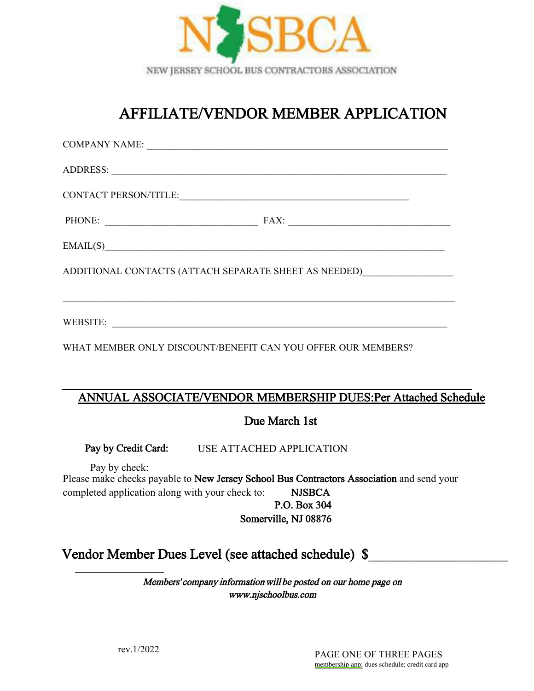

# AFFILIATE/VENDOR MEMBER APPLICATION

| EMAIL(S)                                                                      |                                                                                  |
|-------------------------------------------------------------------------------|----------------------------------------------------------------------------------|
| ADDITIONAL CONTACTS (ATTACH SEPARATE SHEET AS NEEDED)                         |                                                                                  |
|                                                                               | ,我们也不会有什么。""我们的人,我们也不会有什么?""我们的人,我们也不会有什么?""我们的人,我们也不会有什么?""我们的人,我们也不会有什么?""我们的人 |
|                                                                               |                                                                                  |
| WHAT MEMBER ONLY DISCOUNT/BENEFIT CAN YOU OFFER OUR MEMBERS?                  |                                                                                  |
|                                                                               |                                                                                  |
| ANNUAL ASSOCIATE/VENDOR MEMBERSHIP DUES:Per Attached Schedule                 |                                                                                  |
| $\mathbf{D}_{\text{max}}$ $\mathbf{M}_{\text{max}}$ $\mathbf{L}$ $\mathbf{L}$ |                                                                                  |

### Due March 1st

Pay by Credit Card: USE ATTACHED APPLICATION

Please make checks payable to New Jersey School Bus Contractors Association and send your completed application along with your check to: NJSBCA P.O. Box 304 Somerville, NJ 08876 Pay by check:

## Vendor Member Dues Level (see attached schedule) \$

Members' company information will be posted on our home page on www.njschoolbus.com